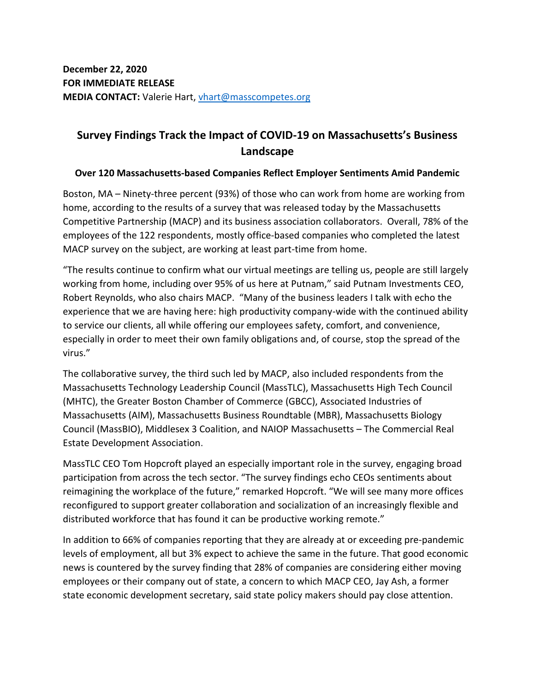# **Survey Findings Track the Impact of COVID-19 on Massachusetts's Business Landscape**

# **Over 120 Massachusetts-based Companies Reflect Employer Sentiments Amid Pandemic**

Boston, MA – Ninety-three percent (93%) of those who can work from home are working from home, according to the results of a survey that was released today by the Massachusetts Competitive Partnership (MACP) and its business association collaborators. Overall, 78% of the employees of the 122 respondents, mostly office-based companies who completed the latest MACP survey on the subject, are working at least part-time from home.

"The results continue to confirm what our virtual meetings are telling us, people are still largely working from home, including over 95% of us here at Putnam," said Putnam Investments CEO, Robert Reynolds, who also chairs MACP. "Many of the business leaders I talk with echo the experience that we are having here: high productivity company-wide with the continued ability to service our clients, all while offering our employees safety, comfort, and convenience, especially in order to meet their own family obligations and, of course, stop the spread of the virus."

The collaborative survey, the third such led by MACP, also included respondents from the Massachusetts Technology Leadership Council (MassTLC), Massachusetts High Tech Council (MHTC), the Greater Boston Chamber of Commerce (GBCC), Associated Industries of Massachusetts (AIM), Massachusetts Business Roundtable (MBR), Massachusetts Biology Council (MassBIO), Middlesex 3 Coalition, and NAIOP Massachusetts – The Commercial Real Estate Development Association.

MassTLC CEO Tom Hopcroft played an especially important role in the survey, engaging broad participation from across the tech sector. "The survey findings echo CEOs sentiments about reimagining the workplace of the future," remarked Hopcroft. "We will see many more offices reconfigured to support greater collaboration and socialization of an increasingly flexible and distributed workforce that has found it can be productive working remote."

In addition to 66% of companies reporting that they are already at or exceeding pre-pandemic levels of employment, all but 3% expect to achieve the same in the future. That good economic news is countered by the survey finding that 28% of companies are considering either moving employees or their company out of state, a concern to which MACP CEO, Jay Ash, a former state economic development secretary, said state policy makers should pay close attention.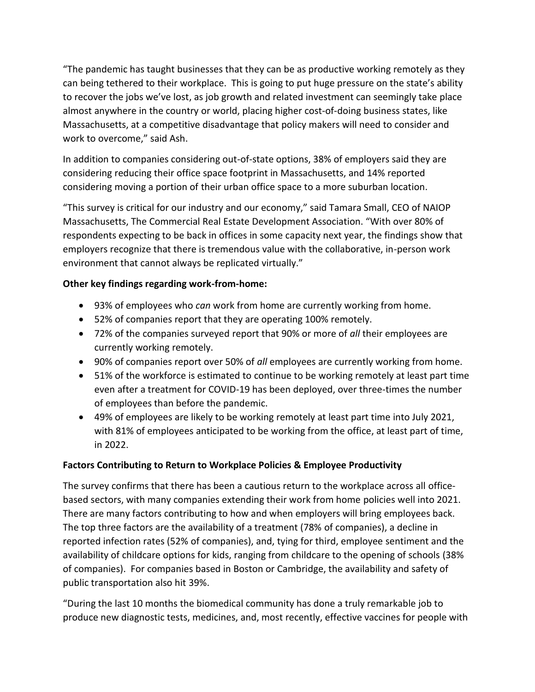"The pandemic has taught businesses that they can be as productive working remotely as they can being tethered to their workplace. This is going to put huge pressure on the state's ability to recover the jobs we've lost, as job growth and related investment can seemingly take place almost anywhere in the country or world, placing higher cost-of-doing business states, like Massachusetts, at a competitive disadvantage that policy makers will need to consider and work to overcome," said Ash.

In addition to companies considering out-of-state options, 38% of employers said they are considering reducing their office space footprint in Massachusetts, and 14% reported considering moving a portion of their urban office space to a more suburban location.

"This survey is critical for our industry and our economy," said Tamara Small, CEO of NAIOP Massachusetts, The Commercial Real Estate Development Association. "With over 80% of respondents expecting to be back in offices in some capacity next year, the findings show that employers recognize that there is tremendous value with the collaborative, in-person work environment that cannot always be replicated virtually."

# **Other key findings regarding work-from-home:**

- 93% of employees who *can* work from home are currently working from home.
- 52% of companies report that they are operating 100% remotely.
- 72% of the companies surveyed report that 90% or more of *all* their employees are currently working remotely.
- 90% of companies report over 50% of *all* employees are currently working from home.
- 51% of the workforce is estimated to continue to be working remotely at least part time even after a treatment for COVID-19 has been deployed, over three-times the number of employees than before the pandemic.
- 49% of employees are likely to be working remotely at least part time into July 2021, with 81% of employees anticipated to be working from the office, at least part of time, in 2022.

# **Factors Contributing to Return to Workplace Policies & Employee Productivity**

The survey confirms that there has been a cautious return to the workplace across all officebased sectors, with many companies extending their work from home policies well into 2021. There are many factors contributing to how and when employers will bring employees back. The top three factors are the availability of a treatment (78% of companies), a decline in reported infection rates (52% of companies), and, tying for third, employee sentiment and the availability of childcare options for kids, ranging from childcare to the opening of schools (38% of companies). For companies based in Boston or Cambridge, the availability and safety of public transportation also hit 39%.

"During the last 10 months the biomedical community has done a truly remarkable job to produce new diagnostic tests, medicines, and, most recently, effective vaccines for people with